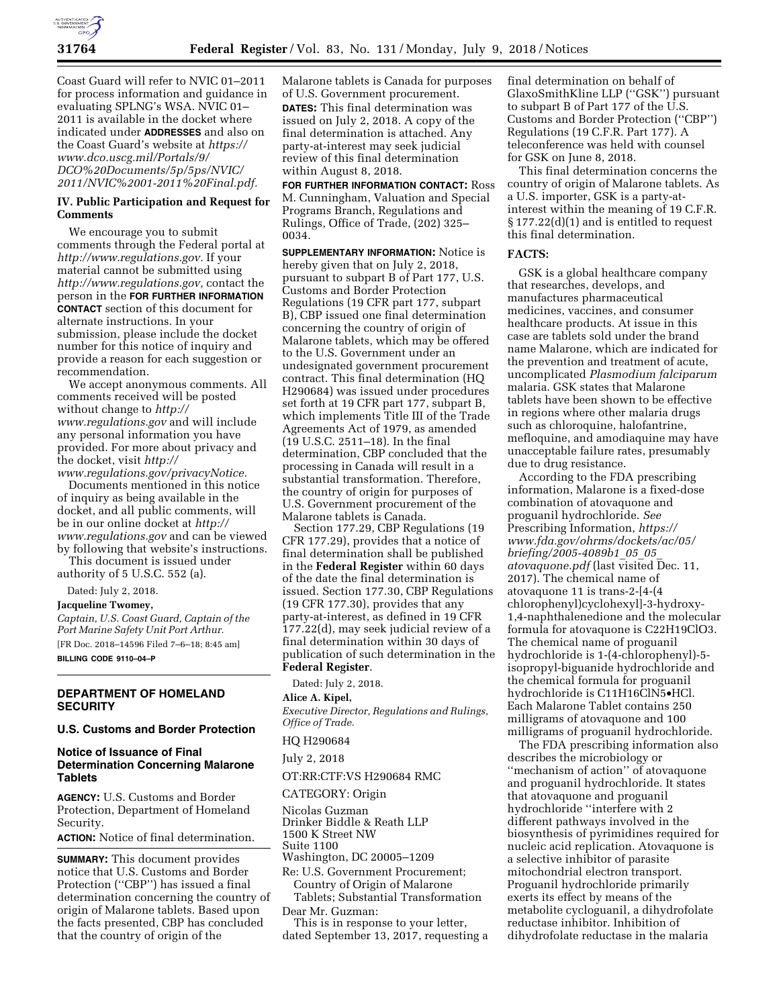

Coast Guard will refer to NVIC 01–2011 for process information and guidance in evaluating SPLNG's WSA. NVIC 01– 2011 is available in the docket where indicated under **ADDRESSES** and also on the Coast Guard's website at *[https://](https://www.dco.uscg.mil/Portals/9/DCO%20Documents/5p/5ps/NVIC/2011/NVIC%2001-2011%20Final.pdf) [www.dco.uscg.mil/Portals/9/](https://www.dco.uscg.mil/Portals/9/DCO%20Documents/5p/5ps/NVIC/2011/NVIC%2001-2011%20Final.pdf)  [DCO%20Documents/5p/5ps/NVIC/](https://www.dco.uscg.mil/Portals/9/DCO%20Documents/5p/5ps/NVIC/2011/NVIC%2001-2011%20Final.pdf)  [2011/NVIC%2001-2011%20Final.pdf.](https://www.dco.uscg.mil/Portals/9/DCO%20Documents/5p/5ps/NVIC/2011/NVIC%2001-2011%20Final.pdf)* 

# **IV. Public Participation and Request for Comments**

We encourage you to submit comments through the Federal portal at *[http://www.regulations.gov.](http://www.regulations.gov)* If your material cannot be submitted using *[http://www.regulations.gov,](http://www.regulations.gov)* contact the person in the **FOR FURTHER INFORMATION CONTACT** section of this document for alternate instructions. In your submission, please include the docket number for this notice of inquiry and provide a reason for each suggestion or recommendation.

We accept anonymous comments. All comments received will be posted without change to *[http://](http://www.regulations.gov) [www.regulations.gov](http://www.regulations.gov)* and will include any personal information you have provided. For more about privacy and the docket, visit *[http://](http://www.regulations.gov/privacyNotice)*

*[www.regulations.gov/privacyNotice.](http://www.regulations.gov/privacyNotice)*  Documents mentioned in this notice

of inquiry as being available in the docket, and all public comments, will be in our online docket at *[http://](http://www.regulations.gov) [www.regulations.gov](http://www.regulations.gov)* and can be viewed by following that website's instructions.

This document is issued under authority of 5 U.S.C. 552 (a).

Dated: July 2, 2018.

#### **Jacqueline Twomey,**

*Captain, U.S. Coast Guard, Captain of the Port Marine Safety Unit Port Arthur.*  [FR Doc. 2018–14596 Filed 7–6–18; 8:45 am] **BILLING CODE 9110–04–P** 

# **DEPARTMENT OF HOMELAND SECURITY**

# **U.S. Customs and Border Protection**

## **Notice of Issuance of Final Determination Concerning Malarone Tablets**

**AGENCY:** U.S. Customs and Border Protection, Department of Homeland Security.

**ACTION:** Notice of final determination.

**SUMMARY:** This document provides notice that U.S. Customs and Border Protection ("CBP") has issued a final determination concerning the country of origin of Malarone tablets. Based upon the facts presented, CBP has concluded that the country of origin of the

Malarone tablets is Canada for purposes of U.S. Government procurement. **DATES:** This final determination was issued on July 2, 2018. A copy of the final determination is attached. Any party-at-interest may seek judicial review of this final determination within August 8, 2018.

**FOR FURTHER INFORMATION CONTACT:** Ross M. Cunningham, Valuation and Special Programs Branch, Regulations and Rulings, Office of Trade, (202) 325– 0034.

**SUPPLEMENTARY INFORMATION:** Notice is hereby given that on July 2, 2018, pursuant to subpart B of Part 177, U.S. Customs and Border Protection Regulations (19 CFR part 177, subpart B), CBP issued one final determination concerning the country of origin of Malarone tablets, which may be offered to the U.S. Government under an undesignated government procurement contract. This final determination (HQ H290684) was issued under procedures set forth at 19 CFR part 177, subpart B, which implements Title III of the Trade Agreements Act of 1979, as amended (19 U.S.C. 2511–18). In the final determination, CBP concluded that the processing in Canada will result in a substantial transformation. Therefore, the country of origin for purposes of U.S. Government procurement of the Malarone tablets is Canada.

Section 177.29, CBP Regulations (19 CFR 177.29), provides that a notice of final determination shall be published in the **Federal Register** within 60 days of the date the final determination is issued. Section 177.30, CBP Regulations (19 CFR 177.30), provides that any party-at-interest, as defined in 19 CFR 177.22(d), may seek judicial review of a final determination within 30 days of publication of such determination in the **Federal Register**.

Dated: July 2, 2018.

# **Alice A. Kipel,**

*Executive Director, Regulations and Rulings, Office of Trade.* 

#### HQ H290684

July 2, 2018

# OT:RR:CTF:VS H290684 RMC

CATEGORY: Origin

Nicolas Guzman Drinker Biddle & Reath LLP

1500 K Street NW

Suite 1100

Washington, DC 20005–1209

Re: U.S. Government Procurement; Country of Origin of Malarone

Tablets; Substantial Transformation Dear Mr. Guzman:

This is in response to your letter, dated September 13, 2017, requesting a final determination on behalf of GlaxoSmithKline LLP (''GSK'') pursuant to subpart B of Part 177 of the U.S. Customs and Border Protection (''CBP'') Regulations (19 C.F.R. Part 177). A teleconference was held with counsel for GSK on June 8, 2018.

This final determination concerns the country of origin of Malarone tablets. As a U.S. importer, GSK is a party-atinterest within the meaning of 19 C.F.R. § 177.22(d)(1) and is entitled to request this final determination.

#### **FACTS:**

GSK is a global healthcare company that researches, develops, and manufactures pharmaceutical medicines, vaccines, and consumer healthcare products. At issue in this case are tablets sold under the brand name Malarone, which are indicated for the prevention and treatment of acute, uncomplicated *Plasmodium falciparum*  malaria. GSK states that Malarone tablets have been shown to be effective in regions where other malaria drugs such as chloroquine, halofantrine, mefloquine, and amodiaquine may have unacceptable failure rates, presumably due to drug resistance.

According to the FDA prescribing information, Malarone is a fixed-dose combination of atovaquone and proguanil hydrochloride. *See*  Prescribing Information, *[https://](https://www.fda.gov/ohrms/dockets/ac/05/briefing/2005-4089b1_05_05_atovaquone.pdf) [www.fda.gov/ohrms/dockets/ac/05/](https://www.fda.gov/ohrms/dockets/ac/05/briefing/2005-4089b1_05_05_atovaquone.pdf)  [briefing/2005-4089b1](https://www.fda.gov/ohrms/dockets/ac/05/briefing/2005-4089b1_05_05_atovaquone.pdf)*\_*05*\_*05*\_ *[atovaquone.pdf](https://www.fda.gov/ohrms/dockets/ac/05/briefing/2005-4089b1_05_05_atovaquone.pdf)* (last visited Dec. 11, 2017). The chemical name of atovaquone 11 is trans-2-[4-(4 chlorophenyl)cyclohexyl]-3-hydroxy-1,4-naphthalenedione and the molecular formula for atovaquone is C22H19ClO3. The chemical name of proguanil hydrochloride is 1-(4-chlorophenyl)-5 isopropyl-biguanide hydrochloride and the chemical formula for proguanil hydrochloride is C11H16ClN5•HCl. Each Malarone Tablet contains 250 milligrams of atovaquone and 100 milligrams of proguanil hydrochloride.

The FDA prescribing information also describes the microbiology or ''mechanism of action'' of atovaquone and proguanil hydrochloride. It states that atovaquone and proguanil hydrochloride ''interfere with 2 different pathways involved in the biosynthesis of pyrimidines required for nucleic acid replication. Atovaquone is a selective inhibitor of parasite mitochondrial electron transport. Proguanil hydrochloride primarily exerts its effect by means of the metabolite cycloguanil, a dihydrofolate reductase inhibitor. Inhibition of dihydrofolate reductase in the malaria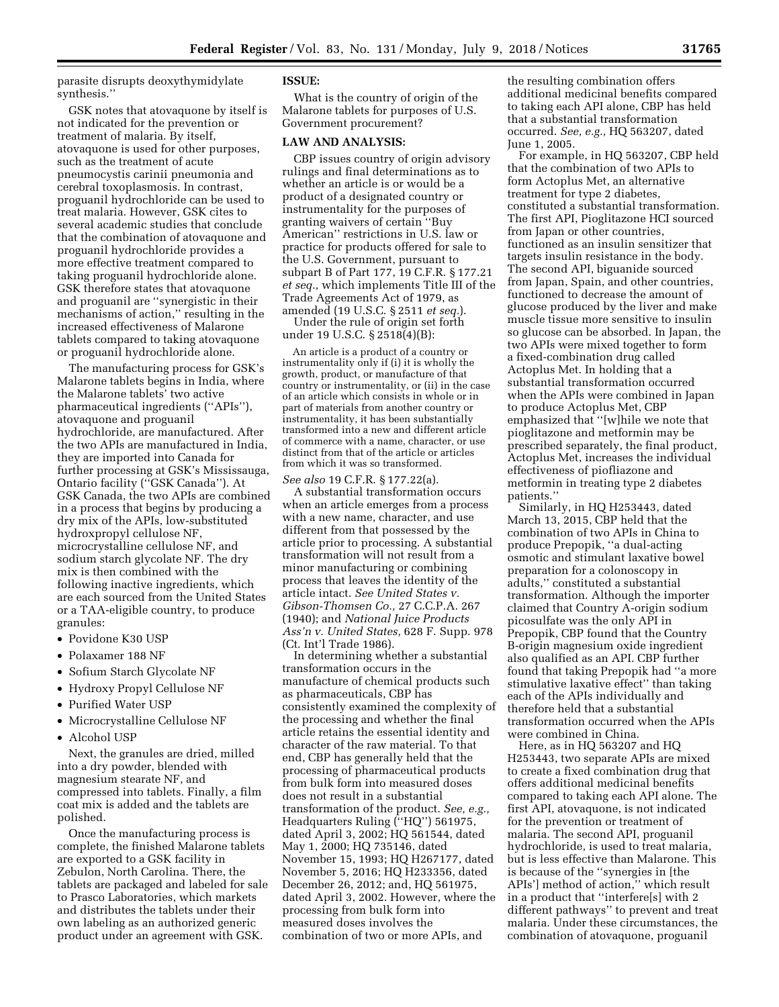parasite disrupts deoxythymidylate synthesis.''

GSK notes that atovaquone by itself is not indicated for the prevention or treatment of malaria. By itself, atovaquone is used for other purposes, such as the treatment of acute pneumocystis carinii pneumonia and cerebral toxoplasmosis. In contrast, proguanil hydrochloride can be used to treat malaria. However, GSK cites to several academic studies that conclude that the combination of atovaquone and proguanil hydrochloride provides a more effective treatment compared to taking proguanil hydrochloride alone. GSK therefore states that atovaquone and proguanil are ''synergistic in their mechanisms of action,'' resulting in the increased effectiveness of Malarone tablets compared to taking atovaquone or proguanil hydrochloride alone.

The manufacturing process for GSK's Malarone tablets begins in India, where the Malarone tablets' two active pharmaceutical ingredients (''APIs''), atovaquone and proguanil hydrochloride, are manufactured. After the two APIs are manufactured in India, they are imported into Canada for further processing at GSK's Mississauga, Ontario facility (''GSK Canada''). At GSK Canada, the two APIs are combined in a process that begins by producing a dry mix of the APIs, low-substituted hydroxpropyl cellulose NF, microcrystalline cellulose NF, and sodium starch glycolate NF. The dry mix is then combined with the following inactive ingredients, which are each sourced from the United States or a TAA-eligible country, to produce granules:

- Povidone K30 USP
- Polaxamer 188 NF
- Sofium Starch Glycolate NF
- Hydroxy Propyl Cellulose NF
- Purified Water USP
- Microcrystalline Cellulose NF
- Alcohol USP

Next, the granules are dried, milled into a dry powder, blended with magnesium stearate NF, and compressed into tablets. Finally, a film coat mix is added and the tablets are polished.

Once the manufacturing process is complete, the finished Malarone tablets are exported to a GSK facility in Zebulon, North Carolina. There, the tablets are packaged and labeled for sale to Prasco Laboratories, which markets and distributes the tablets under their own labeling as an authorized generic product under an agreement with GSK.

#### **ISSUE:**

What is the country of origin of the Malarone tablets for purposes of U.S. Government procurement?

## **LAW AND ANALYSIS:**

CBP issues country of origin advisory rulings and final determinations as to whether an article is or would be a product of a designated country or instrumentality for the purposes of granting waivers of certain ''Buy American'' restrictions in U.S. law or practice for products offered for sale to the U.S. Government, pursuant to subpart B of Part 177, 19 C.F.R. § 177.21 *et seq.,* which implements Title III of the Trade Agreements Act of 1979, as amended (19 U.S.C. § 2511 *et seq.*).

Under the rule of origin set forth under 19 U.S.C. § 2518(4)(B):

An article is a product of a country or instrumentality only if (i) it is wholly the growth, product, or manufacture of that country or instrumentality, or (ii) in the case of an article which consists in whole or in part of materials from another country or instrumentality, it has been substantially transformed into a new and different article of commerce with a name, character, or use distinct from that of the article or articles from which it was so transformed.

*See also* 19 C.F.R. § 177.22(a). A substantial transformation occurs when an article emerges from a process with a new name, character, and use different from that possessed by the article prior to processing. A substantial transformation will not result from a minor manufacturing or combining process that leaves the identity of the article intact. *See United States v. Gibson-Thomsen Co.,* 27 C.C.P.A. 267 (1940); and *National Juice Products Ass'n v. United States,* 628 F. Supp. 978 (Ct. Int'l Trade 1986).

In determining whether a substantial transformation occurs in the manufacture of chemical products such as pharmaceuticals, CBP has consistently examined the complexity of the processing and whether the final article retains the essential identity and character of the raw material. To that end, CBP has generally held that the processing of pharmaceutical products from bulk form into measured doses does not result in a substantial transformation of the product. *See, e.g.,*  Headquarters Ruling (''HQ'') 561975, dated April 3, 2002; HQ 561544, dated May 1, 2000; HQ 735146, dated November 15, 1993; HQ H267177, dated November 5, 2016; HQ H233356, dated December 26, 2012; and, HQ 561975, dated April 3, 2002. However, where the processing from bulk form into measured doses involves the combination of two or more APIs, and

the resulting combination offers additional medicinal benefits compared to taking each API alone, CBP has held that a substantial transformation occurred. *See, e.g.,* HQ 563207, dated June 1, 2005.

For example, in HQ 563207, CBP held that the combination of two APIs to form Actoplus Met, an alternative treatment for type 2 diabetes, constituted a substantial transformation. The first API, Pioglitazone HCI sourced from Japan or other countries, functioned as an insulin sensitizer that targets insulin resistance in the body. The second API, biguanide sourced from Japan, Spain, and other countries, functioned to decrease the amount of glucose produced by the liver and make muscle tissue more sensitive to insulin so glucose can be absorbed. In Japan, the two APIs were mixed together to form a fixed-combination drug called Actoplus Met. In holding that a substantial transformation occurred when the APIs were combined in Japan to produce Actoplus Met, CBP emphasized that ''[w]hile we note that pioglitazone and metformin may be prescribed separately, the final product, Actoplus Met, increases the individual effectiveness of piofliazone and metformin in treating type 2 diabetes patients.''

Similarly, in HQ H253443, dated March 13, 2015, CBP held that the combination of two APIs in China to produce Prepopik, ''a dual-acting osmotic and stimulant laxative bowel preparation for a colonoscopy in adults,'' constituted a substantial transformation. Although the importer claimed that Country A-origin sodium picosulfate was the only API in Prepopik, CBP found that the Country B-origin magnesium oxide ingredient also qualified as an API. CBP further found that taking Prepopik had ''a more stimulative laxative effect'' than taking each of the APIs individually and therefore held that a substantial transformation occurred when the APIs were combined in China.

Here, as in HQ 563207 and HQ H253443, two separate APIs are mixed to create a fixed combination drug that offers additional medicinal benefits compared to taking each API alone. The first API, atovaquone, is not indicated for the prevention or treatment of malaria. The second API, proguanil hydrochloride, is used to treat malaria, but is less effective than Malarone. This is because of the ''synergies in [the APIs'] method of action,'' which result in a product that ''interfere[s] with 2 different pathways'' to prevent and treat malaria. Under these circumstances, the combination of atovaquone, proguanil